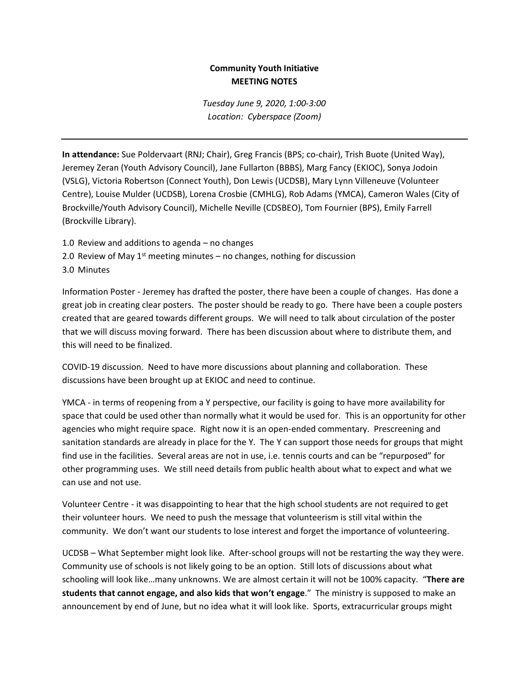## **Community Youth Initiative MEETING NOTES**

*Tuesday June 9, 2020, 1:00-3:00 Location: Cyberspace (Zoom)*

**In attendance:** Sue Poldervaart (RNJ; Chair), Greg Francis (BPS; co-chair), Trish Buote (United Way), Jeremey Zeran (Youth Advisory Council), Jane Fullarton (BBBS), Marg Fancy (EKIOC), Sonya Jodoin (VSLG), Victoria Robertson (Connect Youth), Don Lewis (UCDSB), Mary Lynn Villeneuve (Volunteer Centre), Louise Mulder (UCDSB), Lorena Crosbie (CMHLG), Rob Adams (YMCA), Cameron Wales (City of Brockville/Youth Advisory Council), Michelle Neville (CDSBEO), Tom Fournier (BPS), Emily Farrell (Brockville Library).

- 1.0 Review and additions to agenda no changes
- 2.0 Review of May  $1<sup>st</sup>$  meeting minutes no changes, nothing for discussion

3.0 Minutes

Information Poster - Jeremey has drafted the poster, there have been a couple of changes. Has done a great job in creating clear posters. The poster should be ready to go. There have been a couple posters created that are geared towards different groups. We will need to talk about circulation of the poster that we will discuss moving forward. There has been discussion about where to distribute them, and this will need to be finalized.

COVID-19 discussion. Need to have more discussions about planning and collaboration. These discussions have been brought up at EKIOC and need to continue.

YMCA - in terms of reopening from a Y perspective, our facility is going to have more availability for space that could be used other than normally what it would be used for. This is an opportunity for other agencies who might require space. Right now it is an open-ended commentary. Prescreening and sanitation standards are already in place for the Y. The Y can support those needs for groups that might find use in the facilities. Several areas are not in use, i.e. tennis courts and can be "repurposed" for other programming uses. We still need details from public health about what to expect and what we can use and not use.

Volunteer Centre - it was disappointing to hear that the high school students are not required to get their volunteer hours. We need to push the message that volunteerism is still vital within the community. We don't want our students to lose interest and forget the importance of volunteering.

UCDSB – What September might look like. After-school groups will not be restarting the way they were. Community use of schools is not likely going to be an option. Still lots of discussions about what schooling will look like…many unknowns. We are almost certain it will not be 100% capacity. "**There are students that cannot engage, and also kids that won't engage**." The ministry is supposed to make an announcement by end of June, but no idea what it will look like. Sports, extracurricular groups might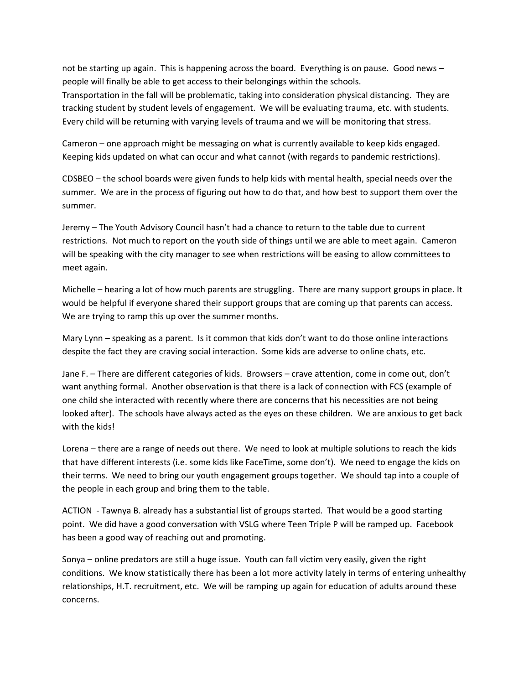not be starting up again. This is happening across the board. Everything is on pause. Good news – people will finally be able to get access to their belongings within the schools.

Transportation in the fall will be problematic, taking into consideration physical distancing. They are tracking student by student levels of engagement. We will be evaluating trauma, etc. with students. Every child will be returning with varying levels of trauma and we will be monitoring that stress.

Cameron – one approach might be messaging on what is currently available to keep kids engaged. Keeping kids updated on what can occur and what cannot (with regards to pandemic restrictions).

CDSBEO – the school boards were given funds to help kids with mental health, special needs over the summer. We are in the process of figuring out how to do that, and how best to support them over the summer.

Jeremy – The Youth Advisory Council hasn't had a chance to return to the table due to current restrictions. Not much to report on the youth side of things until we are able to meet again. Cameron will be speaking with the city manager to see when restrictions will be easing to allow committees to meet again.

Michelle – hearing a lot of how much parents are struggling. There are many support groups in place. It would be helpful if everyone shared their support groups that are coming up that parents can access. We are trying to ramp this up over the summer months.

Mary Lynn – speaking as a parent. Is it common that kids don't want to do those online interactions despite the fact they are craving social interaction. Some kids are adverse to online chats, etc.

Jane F. – There are different categories of kids. Browsers – crave attention, come in come out, don't want anything formal. Another observation is that there is a lack of connection with FCS (example of one child she interacted with recently where there are concerns that his necessities are not being looked after). The schools have always acted as the eyes on these children. We are anxious to get back with the kids!

Lorena – there are a range of needs out there. We need to look at multiple solutions to reach the kids that have different interests (i.e. some kids like FaceTime, some don't). We need to engage the kids on their terms. We need to bring our youth engagement groups together. We should tap into a couple of the people in each group and bring them to the table.

ACTION - Tawnya B. already has a substantial list of groups started. That would be a good starting point. We did have a good conversation with VSLG where Teen Triple P will be ramped up. Facebook has been a good way of reaching out and promoting.

Sonya – online predators are still a huge issue. Youth can fall victim very easily, given the right conditions. We know statistically there has been a lot more activity lately in terms of entering unhealthy relationships, H.T. recruitment, etc. We will be ramping up again for education of adults around these concerns.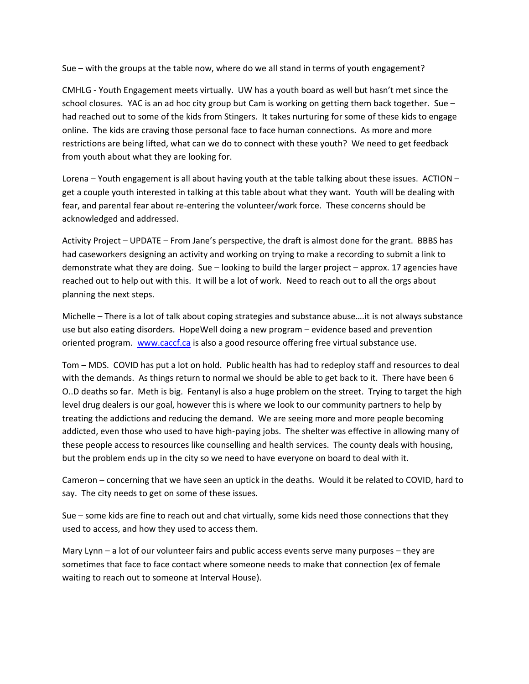Sue – with the groups at the table now, where do we all stand in terms of youth engagement?

CMHLG - Youth Engagement meets virtually. UW has a youth board as well but hasn't met since the school closures. YAC is an ad hoc city group but Cam is working on getting them back together. Sue – had reached out to some of the kids from Stingers. It takes nurturing for some of these kids to engage online. The kids are craving those personal face to face human connections. As more and more restrictions are being lifted, what can we do to connect with these youth? We need to get feedback from youth about what they are looking for.

Lorena – Youth engagement is all about having youth at the table talking about these issues. ACTION – get a couple youth interested in talking at this table about what they want. Youth will be dealing with fear, and parental fear about re-entering the volunteer/work force. These concerns should be acknowledged and addressed.

Activity Project – UPDATE – From Jane's perspective, the draft is almost done for the grant. BBBS has had caseworkers designing an activity and working on trying to make a recording to submit a link to demonstrate what they are doing. Sue – looking to build the larger project – approx. 17 agencies have reached out to help out with this. It will be a lot of work. Need to reach out to all the orgs about planning the next steps.

Michelle – There is a lot of talk about coping strategies and substance abuse….it is not always substance use but also eating disorders. HopeWell doing a new program – evidence based and prevention oriented program. [www.caccf.ca](http://www.caccf.ca/) is also a good resource offering free virtual substance use.

Tom – MDS. COVID has put a lot on hold. Public health has had to redeploy staff and resources to deal with the demands. As things return to normal we should be able to get back to it. There have been 6 O..D deaths so far. Meth is big. Fentanyl is also a huge problem on the street. Trying to target the high level drug dealers is our goal, however this is where we look to our community partners to help by treating the addictions and reducing the demand. We are seeing more and more people becoming addicted, even those who used to have high-paying jobs. The shelter was effective in allowing many of these people access to resources like counselling and health services. The county deals with housing, but the problem ends up in the city so we need to have everyone on board to deal with it.

Cameron – concerning that we have seen an uptick in the deaths. Would it be related to COVID, hard to say. The city needs to get on some of these issues.

Sue – some kids are fine to reach out and chat virtually, some kids need those connections that they used to access, and how they used to access them.

Mary Lynn – a lot of our volunteer fairs and public access events serve many purposes – they are sometimes that face to face contact where someone needs to make that connection (ex of female waiting to reach out to someone at Interval House).